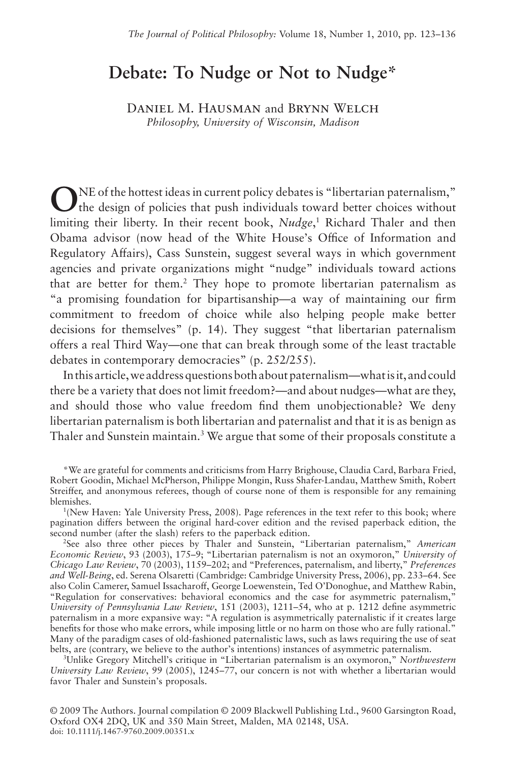# **Debate: To Nudge or Not to Nudge\***

Daniel M. Hausman and Brynn Welch *Philosophy, University of Wisconsin, Madison*

ONE of the hottest ideas in current policy debates is "libertarian paternalism,"<br>the design of policies that push individuals toward better choices without limiting their liberty. In their recent book, *Nudge*, <sup>1</sup> Richard Thaler and then Obama advisor (now head of the White House's Office of Information and Regulatory Affairs), Cass Sunstein, suggest several ways in which government agencies and private organizations might "nudge" individuals toward actions that are better for them.<sup>2</sup> They hope to promote libertarian paternalism as "a promising foundation for bipartisanship—a way of maintaining our firm commitment to freedom of choice while also helping people make better decisions for themselves" (p. 14). They suggest "that libertarian paternalism offers a real Third Way—one that can break through some of the least tractable debates in contemporary democracies" (p. 252/255).

In this article,we address questions both about paternalism—whatisit, and could there be a variety that does not limit freedom?—and about nudges—what are they, and should those who value freedom find them unobjectionable? We deny libertarian paternalism is both libertarian and paternalist and that it is as benign as Thaler and Sunstein maintain.<sup>3</sup> We argue that some of their proposals constitute a

\*We are grateful for comments and criticisms from Harry Brighouse, Claudia Card, Barbara Fried, Robert Goodin, Michael McPherson, Philippe Mongin, Russ Shafer-Landau, Matthew Smith, Robert Streiffer, and anonymous referees, though of course none of them is responsible for any remaining blemishes.

<sup>1</sup>(New Haven: Yale University Press, 2008). Page references in the text refer to this book; where pagination differs between the original hard-cover edition and the revised paperback edition, the second number (after the slash) refers to the paperback edition.

2 See also three other pieces by Thaler and Sunstein, "Libertarian paternalism," *American Economic Review*, 93 (2003), 175–9; "Libertarian paternalism is not an oxymoron," *University of Chicago Law Review*, 70 (2003), 1159–202; and "Preferences, paternalism, and liberty," *Preferences and Well-Being*, ed. Serena Olsaretti (Cambridge: Cambridge University Press, 2006), pp. 233–64. See also Colin Camerer, Samuel Issacharoff, George Loewenstein, Ted O'Donoghue, and Matthew Rabin, "Regulation for conservatives: behavioral economics and the case for asymmetric paternalism," *University of Pennsylvania Law Review*, 151 (2003), 1211–54, who at p. 1212 define asymmetric paternalism in a more expansive way: "A regulation is asymmetrically paternalistic if it creates large benefits for those who make errors, while imposing little or no harm on those who are fully rational." Many of the paradigm cases of old-fashioned paternalistic laws, such as laws requiring the use of seat belts, are (contrary, we believe to the author's intentions) instances of asymmetric paternalism.

3 Unlike Gregory Mitchell's critique in "Libertarian paternalism is an oxymoron," *Northwestern University Law Review*, 99 (2005), 1245–77, our concern is not with whether a libertarian would favor Thaler and Sunstein's proposals.

© 2009 The Authors. Journal compilation © 2009 Blackwell Publishing Ltd., 9600 Garsington Road, Oxford OX4 2DQ, UK and 350 Main Street, Malden, MA 02148, USA. doi: 10.1111/j.1467-9760.2009.00351.x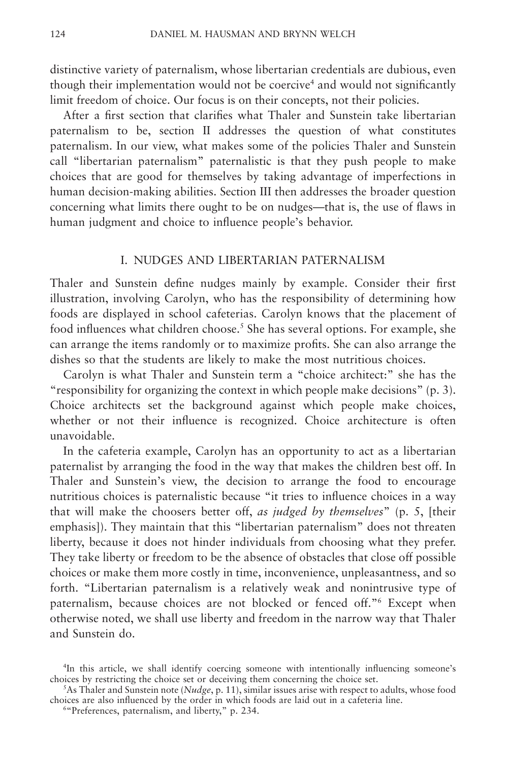distinctive variety of paternalism, whose libertarian credentials are dubious, even though their implementation would not be coercive<sup>4</sup> and would not significantly limit freedom of choice. Our focus is on their concepts, not their policies.

After a first section that clarifies what Thaler and Sunstein take libertarian paternalism to be, section II addresses the question of what constitutes paternalism. In our view, what makes some of the policies Thaler and Sunstein call "libertarian paternalism" paternalistic is that they push people to make choices that are good for themselves by taking advantage of imperfections in human decision-making abilities. Section III then addresses the broader question concerning what limits there ought to be on nudges—that is, the use of flaws in human judgment and choice to influence people's behavior.

#### I. NUDGES AND LIBERTARIAN PATERNALISM

Thaler and Sunstein define nudges mainly by example. Consider their first illustration, involving Carolyn, who has the responsibility of determining how foods are displayed in school cafeterias. Carolyn knows that the placement of food influences what children choose.<sup>5</sup> She has several options. For example, she can arrange the items randomly or to maximize profits. She can also arrange the dishes so that the students are likely to make the most nutritious choices.

Carolyn is what Thaler and Sunstein term a "choice architect:" she has the "responsibility for organizing the context in which people make decisions" (p. 3). Choice architects set the background against which people make choices, whether or not their influence is recognized. Choice architecture is often unavoidable.

In the cafeteria example, Carolyn has an opportunity to act as a libertarian paternalist by arranging the food in the way that makes the children best off. In Thaler and Sunstein's view, the decision to arrange the food to encourage nutritious choices is paternalistic because "it tries to influence choices in a way that will make the choosers better off, *as judged by themselves*" (p. 5, [their emphasis]). They maintain that this "libertarian paternalism" does not threaten liberty, because it does not hinder individuals from choosing what they prefer. They take liberty or freedom to be the absence of obstacles that close off possible choices or make them more costly in time, inconvenience, unpleasantness, and so forth. "Libertarian paternalism is a relatively weak and nonintrusive type of paternalism, because choices are not blocked or fenced off."6 Except when otherwise noted, we shall use liberty and freedom in the narrow way that Thaler and Sunstein do.

<sup>4</sup> In this article, we shall identify coercing someone with intentionally influencing someone's choices by restricting the choice set or deceiving them concerning the choice set.

<sup>5</sup> As Thaler and Sunstein note (*Nudge*, p. 11), similar issues arise with respect to adults, whose food choices are also influenced by the order in which foods are laid out in a cafeteria line.

<sup>6</sup> "Preferences, paternalism, and liberty," p. 234.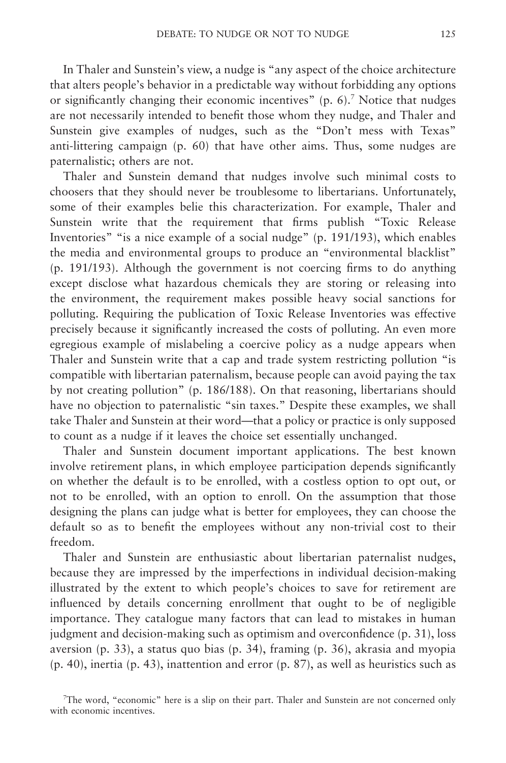In Thaler and Sunstein's view, a nudge is "any aspect of the choice architecture that alters people's behavior in a predictable way without forbidding any options or significantly changing their economic incentives" (p. 6).7 Notice that nudges are not necessarily intended to benefit those whom they nudge, and Thaler and Sunstein give examples of nudges, such as the "Don't mess with Texas" anti-littering campaign (p. 60) that have other aims. Thus, some nudges are paternalistic; others are not.

Thaler and Sunstein demand that nudges involve such minimal costs to choosers that they should never be troublesome to libertarians. Unfortunately, some of their examples belie this characterization. For example, Thaler and Sunstein write that the requirement that firms publish "Toxic Release Inventories" "is a nice example of a social nudge" (p. 191/193), which enables the media and environmental groups to produce an "environmental blacklist" (p. 191/193). Although the government is not coercing firms to do anything except disclose what hazardous chemicals they are storing or releasing into the environment, the requirement makes possible heavy social sanctions for polluting. Requiring the publication of Toxic Release Inventories was effective precisely because it significantly increased the costs of polluting. An even more egregious example of mislabeling a coercive policy as a nudge appears when Thaler and Sunstein write that a cap and trade system restricting pollution "is compatible with libertarian paternalism, because people can avoid paying the tax by not creating pollution" (p. 186/188). On that reasoning, libertarians should have no objection to paternalistic "sin taxes." Despite these examples, we shall take Thaler and Sunstein at their word—that a policy or practice is only supposed to count as a nudge if it leaves the choice set essentially unchanged.

Thaler and Sunstein document important applications. The best known involve retirement plans, in which employee participation depends significantly on whether the default is to be enrolled, with a costless option to opt out, or not to be enrolled, with an option to enroll. On the assumption that those designing the plans can judge what is better for employees, they can choose the default so as to benefit the employees without any non-trivial cost to their freedom.

Thaler and Sunstein are enthusiastic about libertarian paternalist nudges, because they are impressed by the imperfections in individual decision-making illustrated by the extent to which people's choices to save for retirement are influenced by details concerning enrollment that ought to be of negligible importance. They catalogue many factors that can lead to mistakes in human judgment and decision-making such as optimism and overconfidence (p. 31), loss aversion (p. 33), a status quo bias (p. 34), framing (p. 36), akrasia and myopia (p. 40), inertia (p. 43), inattention and error (p. 87), as well as heuristics such as

<sup>7</sup> The word, "economic" here is a slip on their part. Thaler and Sunstein are not concerned only with economic incentives.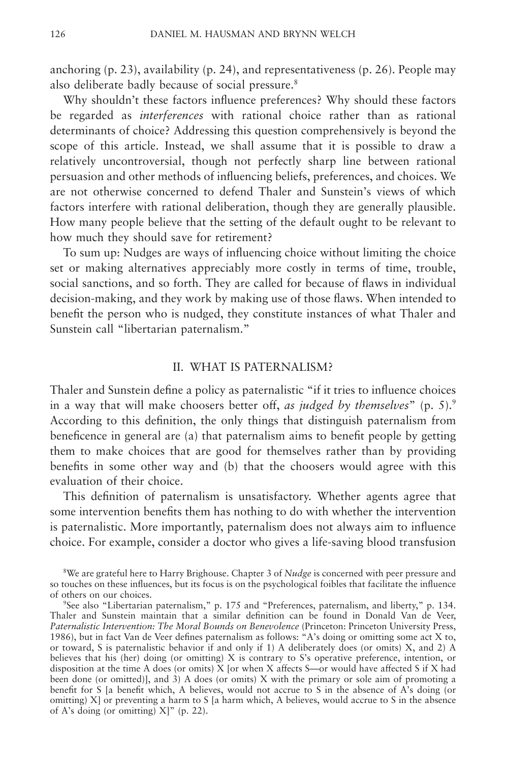anchoring (p. 23), availability (p. 24), and representativeness (p. 26). People may also deliberate badly because of social pressure.<sup>8</sup>

Why shouldn't these factors influence preferences? Why should these factors be regarded as *interferences* with rational choice rather than as rational determinants of choice? Addressing this question comprehensively is beyond the scope of this article. Instead, we shall assume that it is possible to draw a relatively uncontroversial, though not perfectly sharp line between rational persuasion and other methods of influencing beliefs, preferences, and choices. We are not otherwise concerned to defend Thaler and Sunstein's views of which factors interfere with rational deliberation, though they are generally plausible. How many people believe that the setting of the default ought to be relevant to how much they should save for retirement?

To sum up: Nudges are ways of influencing choice without limiting the choice set or making alternatives appreciably more costly in terms of time, trouble, social sanctions, and so forth. They are called for because of flaws in individual decision-making, and they work by making use of those flaws. When intended to benefit the person who is nudged, they constitute instances of what Thaler and Sunstein call "libertarian paternalism."

#### II. WHAT IS PATERNALISM?

Thaler and Sunstein define a policy as paternalistic "if it tries to influence choices in a way that will make choosers better off, *as judged by themselves*" (p. 5).9 According to this definition, the only things that distinguish paternalism from beneficence in general are (a) that paternalism aims to benefit people by getting them to make choices that are good for themselves rather than by providing benefits in some other way and (b) that the choosers would agree with this evaluation of their choice.

This definition of paternalism is unsatisfactory. Whether agents agree that some intervention benefits them has nothing to do with whether the intervention is paternalistic. More importantly, paternalism does not always aim to influence choice. For example, consider a doctor who gives a life-saving blood transfusion

<sup>8</sup> We are grateful here to Harry Brighouse. Chapter 3 of *Nudge* is concerned with peer pressure and so touches on these influences, but its focus is on the psychological foibles that facilitate the influence of others on our choices.

<sup>9</sup> See also "Libertarian paternalism," p. 175 and "Preferences, paternalism, and liberty," p. 134. Thaler and Sunstein maintain that a similar definition can be found in Donald Van de Veer, *Paternalistic Intervention: The Moral Bounds on Benevolence* (Princeton: Princeton University Press, 1986), but in fact Van de Veer defines paternalism as follows: "A's doing or omitting some act X to, or toward, S is paternalistic behavior if and only if 1) A deliberately does (or omits) X, and 2) A believes that his (her) doing (or omitting) X is contrary to S's operative preference, intention, or disposition at the time A does (or omits)  $\overline{X}$  [or when X affects S—or would have affected S if X had been done (or omitted)], and 3) A does (or omits) X with the primary or sole aim of promoting a benefit for S [a benefit which, A believes, would not accrue to S in the absence of A's doing (or omitting) X] or preventing a harm to S [a harm which, A believes, would accrue to S in the absence of A's doing (or omitting)  $X$ ]" (p. 22).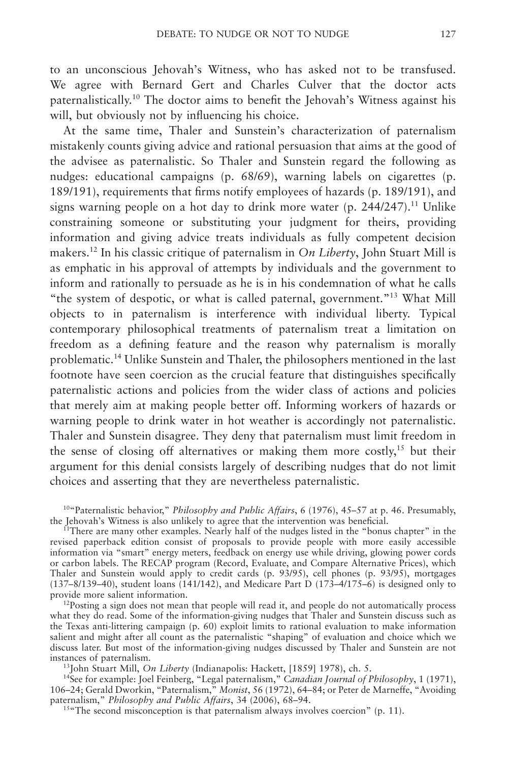to an unconscious Jehovah's Witness, who has asked not to be transfused. We agree with Bernard Gert and Charles Culver that the doctor acts paternalistically.10 The doctor aims to benefit the Jehovah's Witness against his will, but obviously not by influencing his choice.

At the same time, Thaler and Sunstein's characterization of paternalism mistakenly counts giving advice and rational persuasion that aims at the good of the advisee as paternalistic. So Thaler and Sunstein regard the following as nudges: educational campaigns (p. 68/69), warning labels on cigarettes (p. 189/191), requirements that firms notify employees of hazards (p. 189/191), and signs warning people on a hot day to drink more water  $(p. 244/247)$ .<sup>11</sup> Unlike constraining someone or substituting your judgment for theirs, providing information and giving advice treats individuals as fully competent decision makers.12 In his classic critique of paternalism in *On Liberty*, John Stuart Mill is as emphatic in his approval of attempts by individuals and the government to inform and rationally to persuade as he is in his condemnation of what he calls "the system of despotic, or what is called paternal, government."13 What Mill objects to in paternalism is interference with individual liberty. Typical contemporary philosophical treatments of paternalism treat a limitation on freedom as a defining feature and the reason why paternalism is morally problematic.14 Unlike Sunstein and Thaler, the philosophers mentioned in the last footnote have seen coercion as the crucial feature that distinguishes specifically paternalistic actions and policies from the wider class of actions and policies that merely aim at making people better off. Informing workers of hazards or warning people to drink water in hot weather is accordingly not paternalistic. Thaler and Sunstein disagree. They deny that paternalism must limit freedom in the sense of closing off alternatives or making them more costly,<sup>15</sup> but their argument for this denial consists largely of describing nudges that do not limit choices and asserting that they are nevertheless paternalistic.

10"Paternalistic behavior," *Philosophy and Public Affairs*, 6 (1976), 45–57 at p. 46. Presumably, the Jehovah's Witness is also unlikely to agree that the intervention was beneficial.

 $11$ There are many other examples. Nearly half of the nudges listed in the "bonus chapter" in the revised paperback edition consist of proposals to provide people with more easily accessible information via "smart" energy meters, feedback on energy use while driving, glowing power cords or carbon labels. The RECAP program (Record, Evaluate, and Compare Alternative Prices), which Thaler and Sunstein would apply to credit cards (p. 93/95), cell phones (p. 93/95), mortgages  $(137–8/139–40)$ , student loans  $(141/142)$ , and Medicare Part D  $(173–4/175–6)$  is designed only to provide more salient information.

<sup>12</sup>Posting a sign does not mean that people will read it, and people do not automatically process what they do read. Some of the information-giving nudges that Thaler and Sunstein discuss such as the Texas anti-littering campaign (p. 60) exploit limits to rational evaluation to make information salient and might after all count as the paternalistic "shaping" of evaluation and choice which we discuss later. But most of the information-giving nudges discussed by Thaler and Sunstein are not instances of paternalism.

13John Stuart Mill, *On Liberty* (Indianapolis: Hackett, [1859] 1978), ch. 5.

<sup>14</sup>See for example: Joel Feinberg, "Legal paternalism," *Canadian Journal of Philosophy*, 1 (1971), 106–24; Gerald Dworkin, "Paternalism," *Monist*, 56 (1972), 64–84; or Peter de Marneffe, "Avoiding paternalism," *Philosophy and Public Affairs*, 34 (2006), 68–94.

 $15\text{°}$ The second misconception is that paternalism always involves coercion" (p. 11).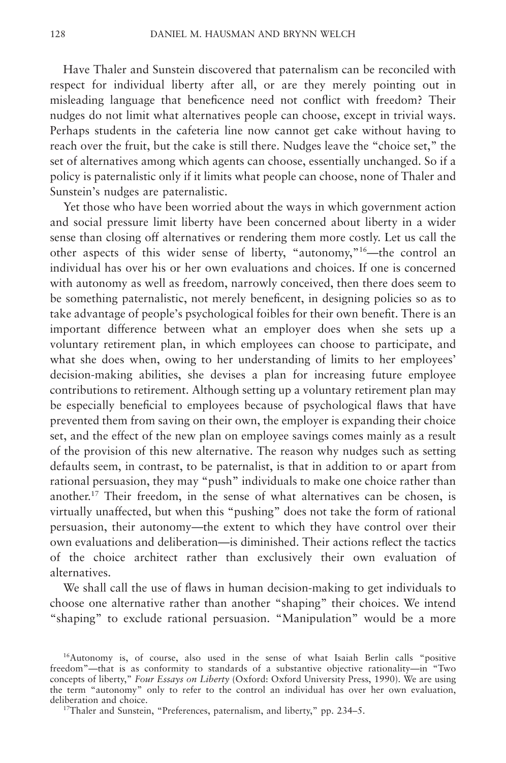Have Thaler and Sunstein discovered that paternalism can be reconciled with respect for individual liberty after all, or are they merely pointing out in misleading language that beneficence need not conflict with freedom? Their nudges do not limit what alternatives people can choose, except in trivial ways. Perhaps students in the cafeteria line now cannot get cake without having to reach over the fruit, but the cake is still there. Nudges leave the "choice set," the set of alternatives among which agents can choose, essentially unchanged. So if a policy is paternalistic only if it limits what people can choose, none of Thaler and Sunstein's nudges are paternalistic.

Yet those who have been worried about the ways in which government action and social pressure limit liberty have been concerned about liberty in a wider sense than closing off alternatives or rendering them more costly. Let us call the other aspects of this wider sense of liberty, "autonomy,"16—the control an individual has over his or her own evaluations and choices. If one is concerned with autonomy as well as freedom, narrowly conceived, then there does seem to be something paternalistic, not merely beneficent, in designing policies so as to take advantage of people's psychological foibles for their own benefit. There is an important difference between what an employer does when she sets up a voluntary retirement plan, in which employees can choose to participate, and what she does when, owing to her understanding of limits to her employees' decision-making abilities, she devises a plan for increasing future employee contributions to retirement. Although setting up a voluntary retirement plan may be especially beneficial to employees because of psychological flaws that have prevented them from saving on their own, the employer is expanding their choice set, and the effect of the new plan on employee savings comes mainly as a result of the provision of this new alternative. The reason why nudges such as setting defaults seem, in contrast, to be paternalist, is that in addition to or apart from rational persuasion, they may "push" individuals to make one choice rather than another.17 Their freedom, in the sense of what alternatives can be chosen, is virtually unaffected, but when this "pushing" does not take the form of rational persuasion, their autonomy—the extent to which they have control over their own evaluations and deliberation—is diminished. Their actions reflect the tactics of the choice architect rather than exclusively their own evaluation of alternatives.

We shall call the use of flaws in human decision-making to get individuals to choose one alternative rather than another "shaping" their choices. We intend "shaping" to exclude rational persuasion. "Manipulation" would be a more

<sup>&</sup>lt;sup>16</sup>Autonomy is, of course, also used in the sense of what Isaiah Berlin calls "positive freedom"—that is as conformity to standards of a substantive objective rationality—in "Two concepts of liberty," *Four Essays on Liberty* (Oxford: Oxford University Press, 1990). We are using the term "autonomy" only to refer to the control an individual has over her own evaluation, deliberation and choice.

<sup>17</sup>Thaler and Sunstein, "Preferences, paternalism, and liberty," pp. 234–5.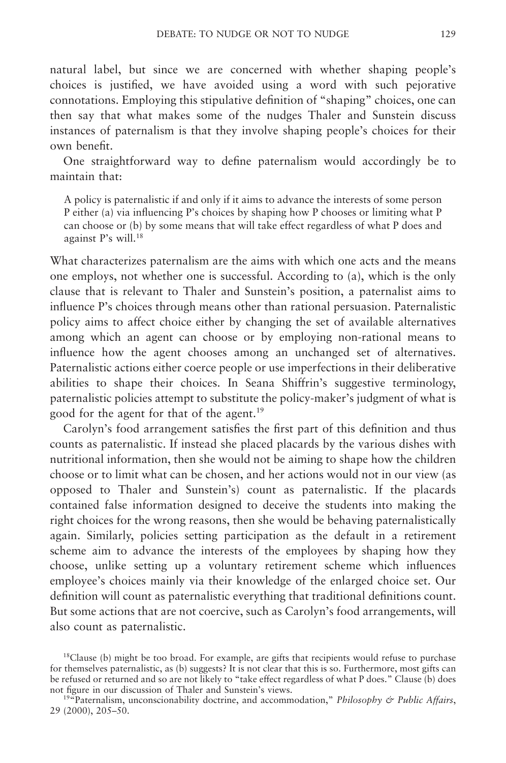natural label, but since we are concerned with whether shaping people's choices is justified, we have avoided using a word with such pejorative connotations. Employing this stipulative definition of "shaping" choices, one can then say that what makes some of the nudges Thaler and Sunstein discuss instances of paternalism is that they involve shaping people's choices for their own benefit.

One straightforward way to define paternalism would accordingly be to maintain that:

A policy is paternalistic if and only if it aims to advance the interests of some person P either (a) via influencing P's choices by shaping how P chooses or limiting what P can choose or (b) by some means that will take effect regardless of what P does and against P's will.<sup>18</sup>

What characterizes paternalism are the aims with which one acts and the means one employs, not whether one is successful. According to (a), which is the only clause that is relevant to Thaler and Sunstein's position, a paternalist aims to influence P's choices through means other than rational persuasion. Paternalistic policy aims to affect choice either by changing the set of available alternatives among which an agent can choose or by employing non-rational means to influence how the agent chooses among an unchanged set of alternatives. Paternalistic actions either coerce people or use imperfections in their deliberative abilities to shape their choices. In Seana Shiffrin's suggestive terminology, paternalistic policies attempt to substitute the policy-maker's judgment of what is good for the agent for that of the agent.<sup>19</sup>

Carolyn's food arrangement satisfies the first part of this definition and thus counts as paternalistic. If instead she placed placards by the various dishes with nutritional information, then she would not be aiming to shape how the children choose or to limit what can be chosen, and her actions would not in our view (as opposed to Thaler and Sunstein's) count as paternalistic. If the placards contained false information designed to deceive the students into making the right choices for the wrong reasons, then she would be behaving paternalistically again. Similarly, policies setting participation as the default in a retirement scheme aim to advance the interests of the employees by shaping how they choose, unlike setting up a voluntary retirement scheme which influences employee's choices mainly via their knowledge of the enlarged choice set. Our definition will count as paternalistic everything that traditional definitions count. But some actions that are not coercive, such as Carolyn's food arrangements, will also count as paternalistic.

 $18$ Clause (b) might be too broad. For example, are gifts that recipients would refuse to purchase for themselves paternalistic, as (b) suggests? It is not clear that this is so. Furthermore, most gifts can be refused or returned and so are not likely to "take effect regardless of what P does." Clause (b) does not figure in our discussion of Thaler and Sunstein's views.

<sup>19&</sup>quot;Paternalism, unconscionability doctrine, and accommodation," *Philosophy & Public Affairs*, 29 (2000), 205–50.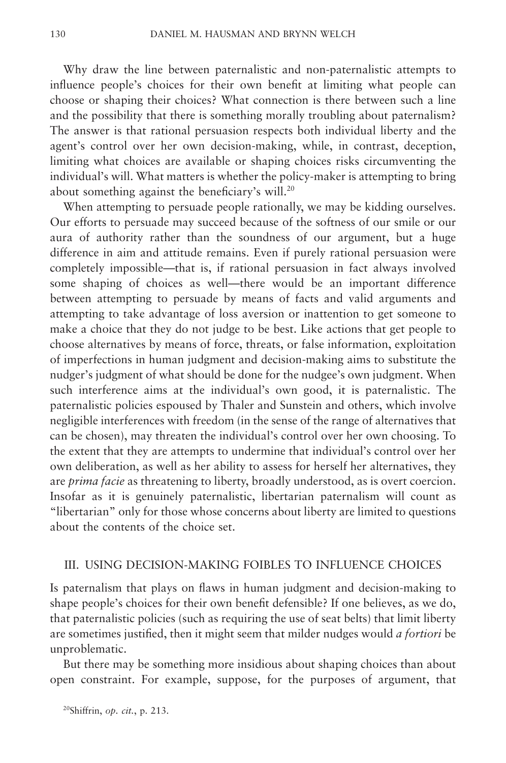Why draw the line between paternalistic and non-paternalistic attempts to influence people's choices for their own benefit at limiting what people can choose or shaping their choices? What connection is there between such a line and the possibility that there is something morally troubling about paternalism? The answer is that rational persuasion respects both individual liberty and the agent's control over her own decision-making, while, in contrast, deception, limiting what choices are available or shaping choices risks circumventing the individual's will. What matters is whether the policy-maker is attempting to bring about something against the beneficiary's will. $20$ 

When attempting to persuade people rationally, we may be kidding ourselves. Our efforts to persuade may succeed because of the softness of our smile or our aura of authority rather than the soundness of our argument, but a huge difference in aim and attitude remains. Even if purely rational persuasion were completely impossible—that is, if rational persuasion in fact always involved some shaping of choices as well—there would be an important difference between attempting to persuade by means of facts and valid arguments and attempting to take advantage of loss aversion or inattention to get someone to make a choice that they do not judge to be best. Like actions that get people to choose alternatives by means of force, threats, or false information, exploitation of imperfections in human judgment and decision-making aims to substitute the nudger's judgment of what should be done for the nudgee's own judgment. When such interference aims at the individual's own good, it is paternalistic. The paternalistic policies espoused by Thaler and Sunstein and others, which involve negligible interferences with freedom (in the sense of the range of alternatives that can be chosen), may threaten the individual's control over her own choosing. To the extent that they are attempts to undermine that individual's control over her own deliberation, as well as her ability to assess for herself her alternatives, they are *prima facie* as threatening to liberty, broadly understood, as is overt coercion. Insofar as it is genuinely paternalistic, libertarian paternalism will count as "libertarian" only for those whose concerns about liberty are limited to questions about the contents of the choice set.

## III. USING DECISION-MAKING FOIBLES TO INFLUENCE CHOICES

Is paternalism that plays on flaws in human judgment and decision-making to shape people's choices for their own benefit defensible? If one believes, as we do, that paternalistic policies (such as requiring the use of seat belts) that limit liberty are sometimes justified, then it might seem that milder nudges would *a fortiori* be unproblematic.

But there may be something more insidious about shaping choices than about open constraint. For example, suppose, for the purposes of argument, that

20Shiffrin, *op. cit.*, p. 213.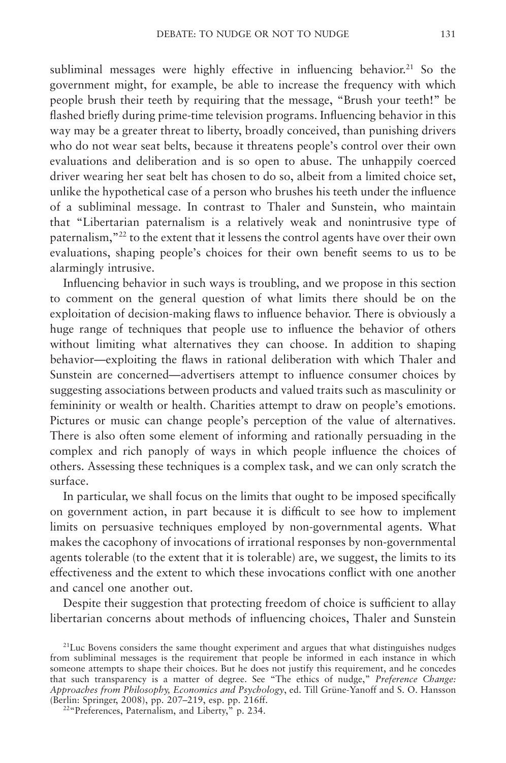subliminal messages were highly effective in influencing behavior.<sup>21</sup> So the government might, for example, be able to increase the frequency with which people brush their teeth by requiring that the message, "Brush your teeth!" be flashed briefly during prime-time television programs. Influencing behavior in this way may be a greater threat to liberty, broadly conceived, than punishing drivers who do not wear seat belts, because it threatens people's control over their own evaluations and deliberation and is so open to abuse. The unhappily coerced driver wearing her seat belt has chosen to do so, albeit from a limited choice set, unlike the hypothetical case of a person who brushes his teeth under the influence of a subliminal message. In contrast to Thaler and Sunstein, who maintain that "Libertarian paternalism is a relatively weak and nonintrusive type of paternalism,"22 to the extent that it lessens the control agents have over their own evaluations, shaping people's choices for their own benefit seems to us to be alarmingly intrusive.

Influencing behavior in such ways is troubling, and we propose in this section to comment on the general question of what limits there should be on the exploitation of decision-making flaws to influence behavior. There is obviously a huge range of techniques that people use to influence the behavior of others without limiting what alternatives they can choose. In addition to shaping behavior—exploiting the flaws in rational deliberation with which Thaler and Sunstein are concerned—advertisers attempt to influence consumer choices by suggesting associations between products and valued traits such as masculinity or femininity or wealth or health. Charities attempt to draw on people's emotions. Pictures or music can change people's perception of the value of alternatives. There is also often some element of informing and rationally persuading in the complex and rich panoply of ways in which people influence the choices of others. Assessing these techniques is a complex task, and we can only scratch the surface.

In particular, we shall focus on the limits that ought to be imposed specifically on government action, in part because it is difficult to see how to implement limits on persuasive techniques employed by non-governmental agents. What makes the cacophony of invocations of irrational responses by non-governmental agents tolerable (to the extent that it is tolerable) are, we suggest, the limits to its effectiveness and the extent to which these invocations conflict with one another and cancel one another out.

Despite their suggestion that protecting freedom of choice is sufficient to allay libertarian concerns about methods of influencing choices, Thaler and Sunstein

 $2<sup>1</sup>$ Luc Bovens considers the same thought experiment and argues that what distinguishes nudges from subliminal messages is the requirement that people be informed in each instance in which someone attempts to shape their choices. But he does not justify this requirement, and he concedes that such transparency is a matter of degree. See "The ethics of nudge," *Preference Change: Approaches from Philosophy, Economics and Psychology*, ed. Till Grüne-Yanoff and S. O. Hansson (Berlin: Springer, 2008), pp. 207–219, esp. pp. 216ff.

<sup>&</sup>lt;sup>22</sup>"Preferences, Paternalism, and Liberty," p. 234.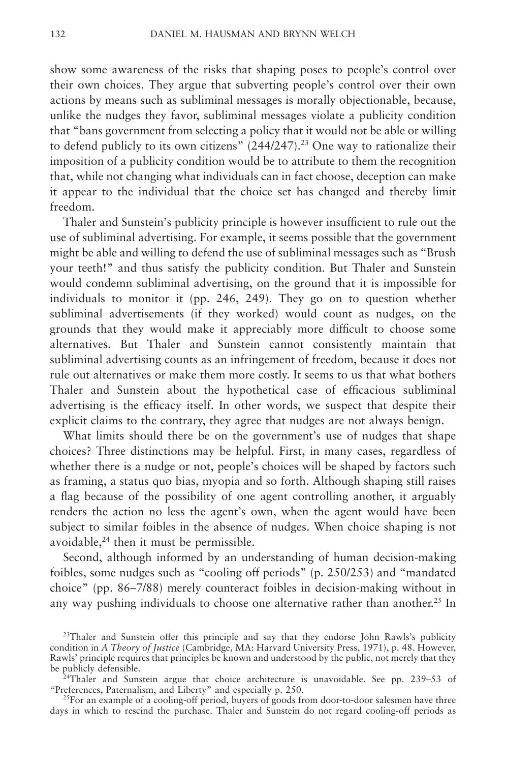show some awareness of the risks that shaping poses to people's control over their own choices. They argue that subverting people's control over their own actions by means such as subliminal messages is morally objectionable, because, unlike the nudges they favor, subliminal messages violate a publicity condition that "bans government from selecting a policy that it would not be able or willing to defend publicly to its own citizens"  $(244/247).^{23}$  One way to rationalize their imposition of a publicity condition would be to attribute to them the recognition that, while not changing what individuals can in fact choose, deception can make it appear to the individual that the choice set has changed and thereby limit freedom.

Thaler and Sunstein's publicity principle is however insufficient to rule out the use of subliminal advertising. For example, it seems possible that the government might be able and willing to defend the use of subliminal messages such as "Brush your teeth!" and thus satisfy the publicity condition. But Thaler and Sunstein would condemn subliminal advertising, on the ground that it is impossible for individuals to monitor it (pp. 246, 249). They go on to question whether subliminal advertisements (if they worked) would count as nudges, on the grounds that they would make it appreciably more difficult to choose some alternatives. But Thaler and Sunstein cannot consistently maintain that subliminal advertising counts as an infringement of freedom, because it does not rule out alternatives or make them more costly. It seems to us that what bothers Thaler and Sunstein about the hypothetical case of efficacious subliminal advertising is the efficacy itself. In other words, we suspect that despite their explicit claims to the contrary, they agree that nudges are not always benign.

What limits should there be on the government's use of nudges that shape choices? Three distinctions may be helpful. First, in many cases, regardless of whether there is a nudge or not, people's choices will be shaped by factors such as framing, a status quo bias, myopia and so forth. Although shaping still raises a flag because of the possibility of one agent controlling another, it arguably renders the action no less the agent's own, when the agent would have been subject to similar foibles in the absence of nudges. When choice shaping is not avoidable, $24$  then it must be permissible.

Second, although informed by an understanding of human decision-making foibles, some nudges such as "cooling off periods" (p. 250/253) and "mandated choice" (pp. 86–7/88) merely counteract foibles in decision-making without in any way pushing individuals to choose one alternative rather than another.<sup>25</sup> In

<sup>&</sup>lt;sup>23</sup>Thaler and Sunstein offer this principle and say that they endorse John Rawls's publicity condition in *A Theory of Justice* (Cambridge, MA: Harvard University Press, 1971), p. 48. However, Rawls' principle requires that principles be known and understood by the public, not merely that they be publicly defensible.

 $24$ Thaler and Sunstein argue that choice architecture is unavoidable. See pp. 239–53 of "Preferences, Paternalism, and Liberty" and especially p. 250.

<sup>&</sup>lt;sup>25</sup>For an example of a cooling-off period, buyers of goods from door-to-door salesmen have three days in which to rescind the purchase. Thaler and Sunstein do not regard cooling-off periods as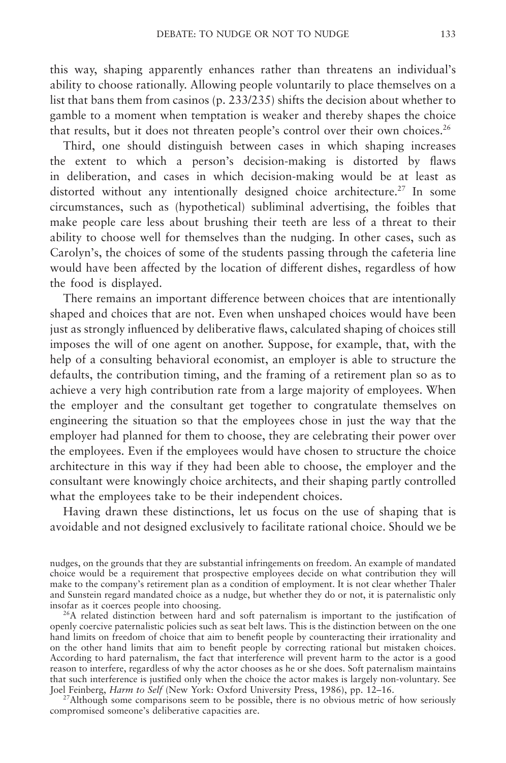this way, shaping apparently enhances rather than threatens an individual's ability to choose rationally. Allowing people voluntarily to place themselves on a list that bans them from casinos (p. 233/235) shifts the decision about whether to gamble to a moment when temptation is weaker and thereby shapes the choice that results, but it does not threaten people's control over their own choices.26

Third, one should distinguish between cases in which shaping increases the extent to which a person's decision-making is distorted by flaws in deliberation, and cases in which decision-making would be at least as distorted without any intentionally designed choice architecture.<sup>27</sup> In some circumstances, such as (hypothetical) subliminal advertising, the foibles that make people care less about brushing their teeth are less of a threat to their ability to choose well for themselves than the nudging. In other cases, such as Carolyn's, the choices of some of the students passing through the cafeteria line would have been affected by the location of different dishes, regardless of how the food is displayed.

There remains an important difference between choices that are intentionally shaped and choices that are not. Even when unshaped choices would have been just as strongly influenced by deliberative flaws, calculated shaping of choices still imposes the will of one agent on another. Suppose, for example, that, with the help of a consulting behavioral economist, an employer is able to structure the defaults, the contribution timing, and the framing of a retirement plan so as to achieve a very high contribution rate from a large majority of employees. When the employer and the consultant get together to congratulate themselves on engineering the situation so that the employees chose in just the way that the employer had planned for them to choose, they are celebrating their power over the employees. Even if the employees would have chosen to structure the choice architecture in this way if they had been able to choose, the employer and the consultant were knowingly choice architects, and their shaping partly controlled what the employees take to be their independent choices.

Having drawn these distinctions, let us focus on the use of shaping that is avoidable and not designed exclusively to facilitate rational choice. Should we be

nudges, on the grounds that they are substantial infringements on freedom. An example of mandated choice would be a requirement that prospective employees decide on what contribution they will make to the company's retirement plan as a condition of employment. It is not clear whether Thaler and Sunstein regard mandated choice as a nudge, but whether they do or not, it is paternalistic only insofar as it coerces people into choosing.

 $26A$  related distinction between hard and soft paternalism is important to the justification of openly coercive paternalistic policies such as seat belt laws. This is the distinction between on the one hand limits on freedom of choice that aim to benefit people by counteracting their irrationality and on the other hand limits that aim to benefit people by correcting rational but mistaken choices. According to hard paternalism, the fact that interference will prevent harm to the actor is a good reason to interfere, regardless of why the actor chooses as he or she does. Soft paternalism maintains that such interference is justified only when the choice the actor makes is largely non-voluntary. See Joel Feinberg, *Harm to Self* (New York: Oxford University Press, 1986), pp. 12–16.

<sup>27</sup>Although some comparisons seem to be possible, there is no obvious metric of how seriously compromised someone's deliberative capacities are.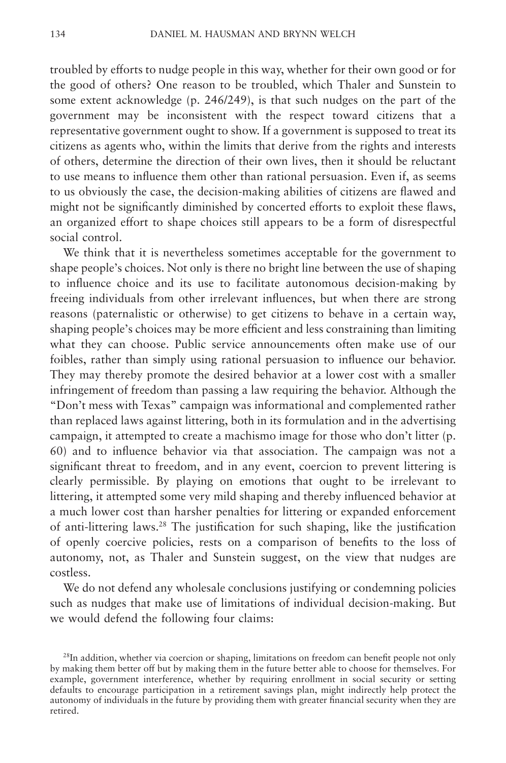troubled by efforts to nudge people in this way, whether for their own good or for the good of others? One reason to be troubled, which Thaler and Sunstein to some extent acknowledge (p. 246/249), is that such nudges on the part of the government may be inconsistent with the respect toward citizens that a representative government ought to show. If a government is supposed to treat its citizens as agents who, within the limits that derive from the rights and interests of others, determine the direction of their own lives, then it should be reluctant to use means to influence them other than rational persuasion. Even if, as seems to us obviously the case, the decision-making abilities of citizens are flawed and might not be significantly diminished by concerted efforts to exploit these flaws, an organized effort to shape choices still appears to be a form of disrespectful social control.

We think that it is nevertheless sometimes acceptable for the government to shape people's choices. Not only is there no bright line between the use of shaping to influence choice and its use to facilitate autonomous decision-making by freeing individuals from other irrelevant influences, but when there are strong reasons (paternalistic or otherwise) to get citizens to behave in a certain way, shaping people's choices may be more efficient and less constraining than limiting what they can choose. Public service announcements often make use of our foibles, rather than simply using rational persuasion to influence our behavior. They may thereby promote the desired behavior at a lower cost with a smaller infringement of freedom than passing a law requiring the behavior. Although the "Don't mess with Texas" campaign was informational and complemented rather than replaced laws against littering, both in its formulation and in the advertising campaign, it attempted to create a machismo image for those who don't litter (p. 60) and to influence behavior via that association. The campaign was not a significant threat to freedom, and in any event, coercion to prevent littering is clearly permissible. By playing on emotions that ought to be irrelevant to littering, it attempted some very mild shaping and thereby influenced behavior at a much lower cost than harsher penalties for littering or expanded enforcement of anti-littering laws.28 The justification for such shaping, like the justification of openly coercive policies, rests on a comparison of benefits to the loss of autonomy, not, as Thaler and Sunstein suggest, on the view that nudges are costless.

We do not defend any wholesale conclusions justifying or condemning policies such as nudges that make use of limitations of individual decision-making. But we would defend the following four claims:

<sup>&</sup>lt;sup>28</sup>In addition, whether via coercion or shaping, limitations on freedom can benefit people not only by making them better off but by making them in the future better able to choose for themselves. For example, government interference, whether by requiring enrollment in social security or setting defaults to encourage participation in a retirement savings plan, might indirectly help protect the autonomy of individuals in the future by providing them with greater financial security when they are retired.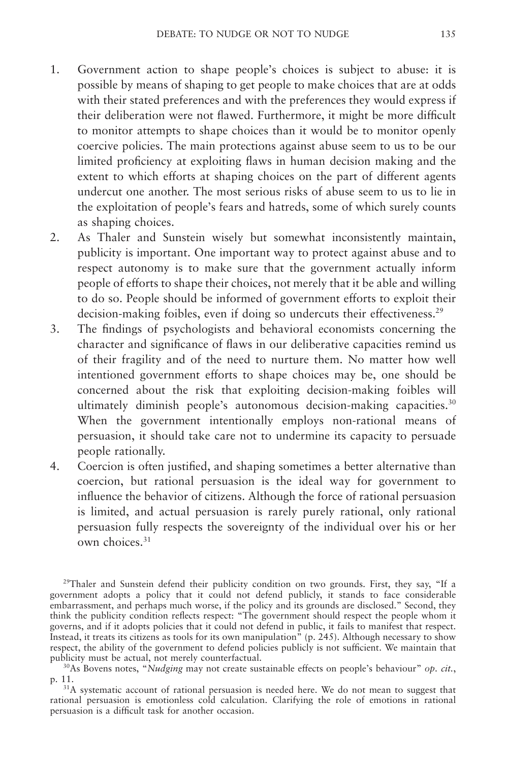- 1. Government action to shape people's choices is subject to abuse: it is possible by means of shaping to get people to make choices that are at odds with their stated preferences and with the preferences they would express if their deliberation were not flawed. Furthermore, it might be more difficult to monitor attempts to shape choices than it would be to monitor openly coercive policies. The main protections against abuse seem to us to be our limited proficiency at exploiting flaws in human decision making and the extent to which efforts at shaping choices on the part of different agents undercut one another. The most serious risks of abuse seem to us to lie in the exploitation of people's fears and hatreds, some of which surely counts as shaping choices.
- 2. As Thaler and Sunstein wisely but somewhat inconsistently maintain, publicity is important. One important way to protect against abuse and to respect autonomy is to make sure that the government actually inform people of efforts to shape their choices, not merely that it be able and willing to do so. People should be informed of government efforts to exploit their decision-making foibles, even if doing so undercuts their effectiveness.<sup>29</sup>
- 3. The findings of psychologists and behavioral economists concerning the character and significance of flaws in our deliberative capacities remind us of their fragility and of the need to nurture them. No matter how well intentioned government efforts to shape choices may be, one should be concerned about the risk that exploiting decision-making foibles will ultimately diminish people's autonomous decision-making capacities.<sup>30</sup> When the government intentionally employs non-rational means of persuasion, it should take care not to undermine its capacity to persuade people rationally.
- 4. Coercion is often justified, and shaping sometimes a better alternative than coercion, but rational persuasion is the ideal way for government to influence the behavior of citizens. Although the force of rational persuasion is limited, and actual persuasion is rarely purely rational, only rational persuasion fully respects the sovereignty of the individual over his or her own choices.31

 $29$ Thaler and Sunstein defend their publicity condition on two grounds. First, they say, "If a government adopts a policy that it could not defend publicly, it stands to face considerable embarrassment, and perhaps much worse, if the policy and its grounds are disclosed." Second, they think the publicity condition reflects respect: "The government should respect the people whom it governs, and if it adopts policies that it could not defend in public, it fails to manifest that respect. Instead, it treats its citizens as tools for its own manipulation" (p. 245). Although necessary to show respect, the ability of the government to defend policies publicly is not sufficient. We maintain that publicity must be actual, not merely counterfactual.

30As Bovens notes, "*Nudging* may not create sustainable effects on people's behaviour" *op. cit.*, p. 11.

<sup>31</sup>A systematic account of rational persuasion is needed here. We do not mean to suggest that rational persuasion is emotionless cold calculation. Clarifying the role of emotions in rational persuasion is a difficult task for another occasion.